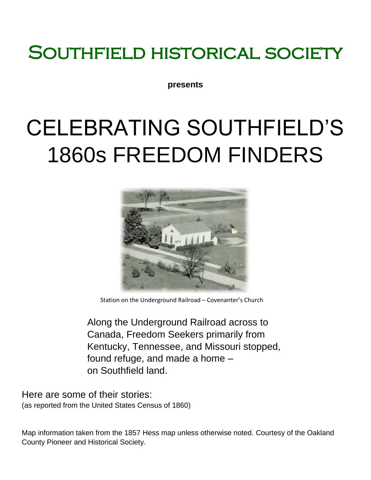## SOUTHFIELD HISTORICAL SOCIETY

**presents**

# CELEBRATING SOUTHFIELD'S 1860s FREEDOM FINDERS



Station on the Underground Railroad – Covenanter's Church

Along the Underground Railroad across to Canada, Freedom Seekers primarily from Kentucky, Tennessee, and Missouri stopped, found refuge, and made a home – on Southfield land.

Here are some of their stories: (as reported from the United States Census of 1860)

Map information taken from the 1857 Hess map unless otherwise noted. Courtesy of the Oakland County Pioneer and Historical Society.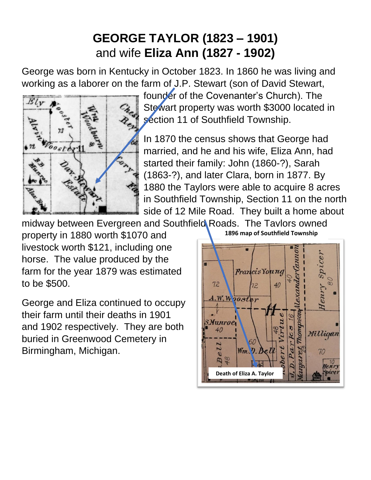### **GEORGE TAYLOR (1823 – 1901)**  and wife **Eliza Ann (1827 - 1902)**

George was born in Kentucky in October 1823. In 1860 he was living and working as a laborer on the farm of J.P. Stewart (son of David Stewart,



founder of the Covenanter's Church). The Stewart property was worth \$3000 located in section 11 of Southfield Township.

In 1870 the census shows that George had married, and he and his wife, Eliza Ann, had started their family: John (1860-?), Sarah (1863-?), and later Clara, born in 1877. By 1880 the Taylors were able to acquire 8 acres in Southfield Township, Section 11 on the north side of 12 Mile Road. They built a home about

midway between Evergreen and Southfield Roads. The Taylors owned

property in 1880 worth \$1070 and livestock worth \$121, including one horse. The value produced by the farm for the year 1879 was estimated to be \$500.

George and Eliza continued to occupy their farm until their deaths in 1901 and 1902 respectively. They are both buried in Greenwood Cemetery in Birmingham, Michigan.

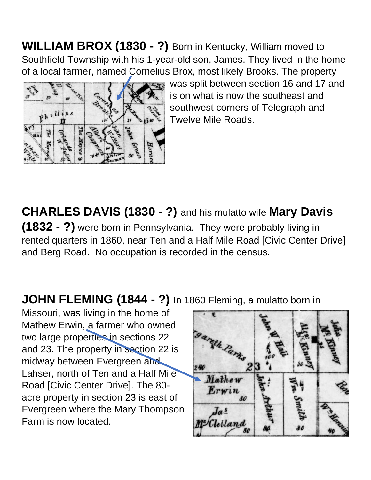**WILLIAM BROX (1830 - ?)** Born in Kentucky, William moved to Southfield Township with his 1-year-old son, James. They lived in the home of a local farmer, named Cornelius Brox, most likely Brooks. The property



was split between section 16 and 17 and is on what is now the southeast and southwest corners of Telegraph and Twelve Mile Roads.

### **CHARLES DAVIS (1830 - ?)** and his mulatto wife **Mary Davis**

**(1832 - ?)** were born in Pennsylvania. They were probably living in rented quarters in 1860, near Ten and a Half Mile Road [Civic Center Drive] and Berg Road. No occupation is recorded in the census.

#### **JOHN FLEMING (1844 - ?)** In 1860 Fleming, a mulatto born in

Missouri, was living in the home of Mathew Erwin, a farmer who owned two large properties in sections 22 and 23. The property in section 22 is midway between Evergreen and Lahser, north of Ten and a Half Mile Road [Civic Center Drive]. The 80 acre property in section 23 is east of Evergreen where the Mary Thompson Farm is now located.

rath Parks 2. Mathew Erwin 80  $J_a$  s lelland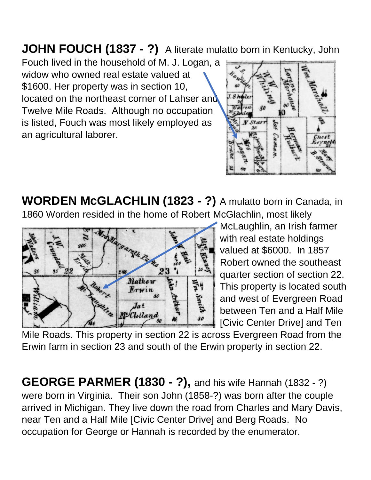**JOHN FOUCH (1837 - ?)** A literate mulatto born in Kentucky, John

Fouch lived in the household of M. J. Logan, a widow who owned real estate valued at \$1600. Her property was in section 10, located on the northeast corner of Lahser and Twelve Mile Roads. Although no occupation is listed, Fouch was most likely employed as an agricultural laborer.



**WORDEN McGLACHLIN (1823 - ?)** A mulatto born in Canada, in 1860 Worden resided in the home of Robert McGlachlin, most likely



McLaughlin, an Irish farmer with real estate holdings valued at \$6000. In 1857 Robert owned the southeast quarter section of section 22. This property is located south and west of Evergreen Road between Ten and a Half Mile [Civic Center Drive] and Ten

Mile Roads. This property in section 22 is across Evergreen Road from the Erwin farm in section 23 and south of the Erwin property in section 22.

**GEORGE PARMER (1830 - ?),** and his wife Hannah (1832 - ?) were born in Virginia. Their son John (1858-?) was born after the couple arrived in Michigan. They live down the road from Charles and Mary Davis, near Ten and a Half Mile [Civic Center Drive] and Berg Roads. No occupation for George or Hannah is recorded by the enumerator.